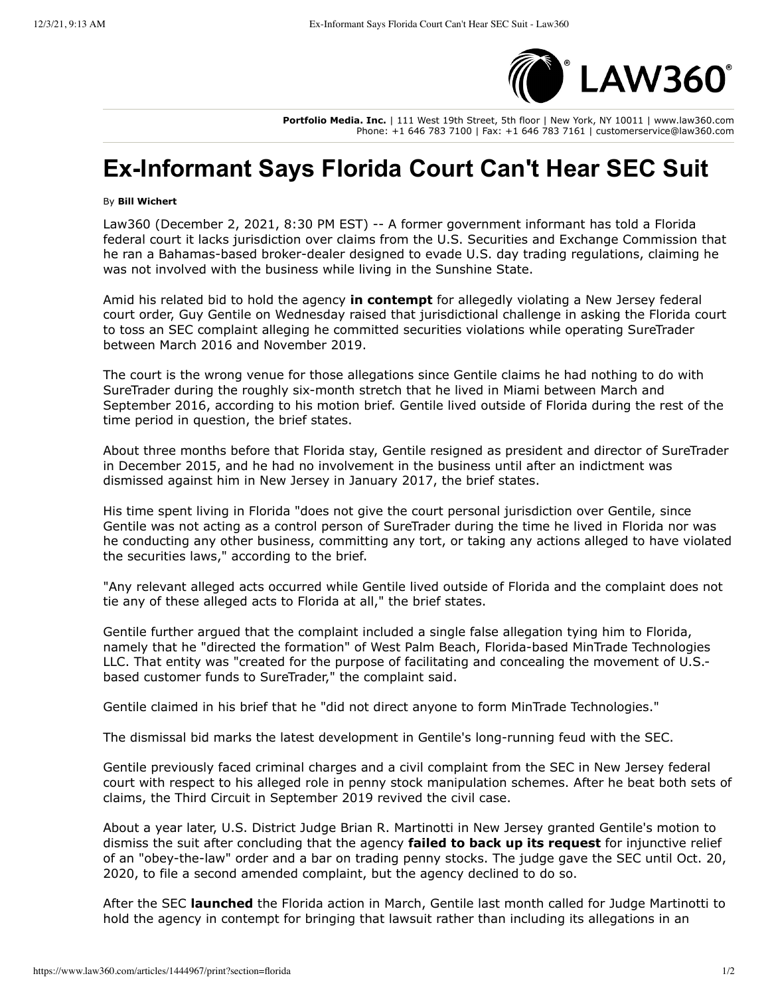

**Portfolio Media. Inc.** | 111 West 19th Street, 5th floor | New York, NY 10011 | www.law360.com Phone: +1 646 783 7100 | Fax: +1 646 783 7161 | customerservice@law360.com

## **Ex-Informant Says Florida Court Can't Hear SEC Suit**

## By **Bill Wichert**

Law360 (December 2, 2021, 8:30 PM EST) -- A former government informant has told a Florida federal court it lacks jurisdiction over claims from the U.S. Securities and Exchange Commission that he ran a Bahamas-based broker-dealer designed to evade U.S. day trading regulations, claiming he was not involved with the business while living in the Sunshine State.

Amid his related bid to hold the agency **in contempt** for allegedly violating a New Jersey federal court order, Guy Gentile on Wednesday raised that jurisdictional challenge in asking the Florida court to toss an SEC complaint alleging he committed securities violations while operating SureTrader between March 2016 and November 2019.

The court is the wrong venue for those allegations since Gentile claims he had nothing to do with SureTrader during the roughly six-month stretch that he lived in Miami between March and September 2016, according to his motion brief. Gentile lived outside of Florida during the rest of the time period in question, the brief states.

About three months before that Florida stay, Gentile resigned as president and director of SureTrader in December 2015, and he had no involvement in the business until after an indictment was dismissed against him in New Jersey in January 2017, the brief states.

His time spent living in Florida "does not give the court personal jurisdiction over Gentile, since Gentile was not acting as a control person of SureTrader during the time he lived in Florida nor was he conducting any other business, committing any tort, or taking any actions alleged to have violated the securities laws," according to the brief.

"Any relevant alleged acts occurred while Gentile lived outside of Florida and the complaint does not tie any of these alleged acts to Florida at all," the brief states.

Gentile further argued that the complaint included a single false allegation tying him to Florida, namely that he "directed the formation" of West Palm Beach, Florida-based MinTrade Technologies LLC. That entity was "created for the purpose of facilitating and concealing the movement of U.S.based customer funds to SureTrader," the complaint said.

Gentile claimed in his brief that he "did not direct anyone to form MinTrade Technologies."

The dismissal bid marks the latest development in Gentile's long-running feud with the SEC.

Gentile previously faced criminal charges and a civil complaint from the SEC in New Jersey federal court with respect to his alleged role in penny stock manipulation schemes. After he beat both sets of claims, the Third Circuit in September 2019 revived the civil case.

About a year later, U.S. District Judge Brian R. Martinotti in New Jersey granted Gentile's motion to dismiss the suit after concluding that the agency **failed to back up its request** for injunctive relief of an "obey-the-law" order and a bar on trading penny stocks. The judge gave the SEC until Oct. 20, 2020, to file a second amended complaint, but the agenc\ declined to do so.

After the SEC **launched** the Florida action in March, Gentile last month called for Judge Martinotti to hold the agency in contempt for bringing that lawsuit rather than including its allegations in an